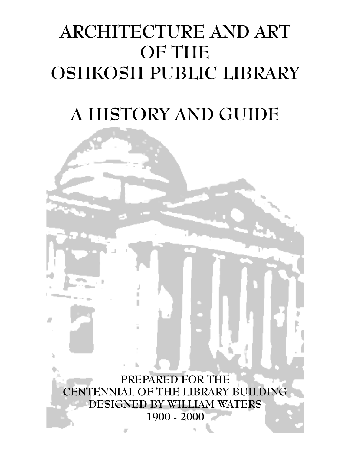# ARCHITECTURE AND ART OF THE OSHKOSH PUBLIC LIBRARY

# A HISTORY AND GUIDE

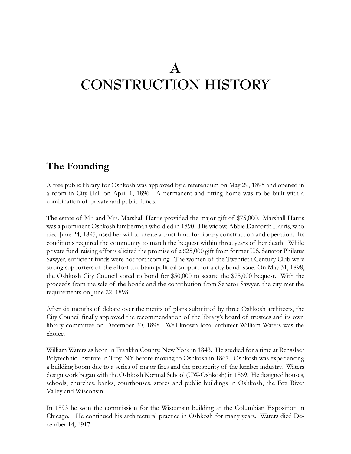# A CONSTRUCTION HISTORY

# The Founding

A free public library for Oshkosh was approved by a referendum on May 29, 1895 and opened in a room in City Hall on April 1, 1896. A permanent and fitting home was to be built with a combination of private and public funds.

The estate of Mr. and Mrs. Marshall Harris provided the major gift of \$75,000. Marshall Harris was a prominent Oshkosh lumberman who died in 1890. His widow, Abbie Danforth Harris, who died June 24, 1895, used her will to create a trust fund for library construction and operation. Its conditions required the community to match the bequest within three years of her death. While private fund-raising efforts elicited the promise of a \$25,000 gift from former U.S. Senator Philetus Sawyer, sufficient funds were not forthcoming. The women of the Twentieth Century Club were strong supporters of the effort to obtain political support for a city bond issue. On May 31, 1898, the Oshkosh City Council voted to bond for \$50,000 to secure the \$75,000 bequest. With the proceeds from the sale of the bonds and the contribution from Senator Sawyer, the city met the requirements on June 22, 1898.

After six months of debate over the merits of plans submitted by three Oshkosh architects, the City Council finally approved the recommendation of the librarys board of trustees and its own library committee on December 20, 1898. Well-known local architect William Waters was the choice.

William Waters as born in Franklin County, New York in 1843. He studied for a time at Rensslaer Polytechnic Institute in Troy, NY before moving to Oshkosh in 1867. Oshkosh was experiencing a building boom due to a series of major fires and the prosperity of the lumber industry. Waters design work began with the Oshkosh Normal School (UW-Oshkosh) in 1869. He designed houses, schools, churches, banks, courthouses, stores and public buildings in Oshkosh, the Fox River Valley and Wisconsin.

In 1893 he won the commission for the Wisconsin building at the Columbian Exposition in Chicago. He continued his architectural practice in Oshkosh for many years. Waters died December 14, 1917.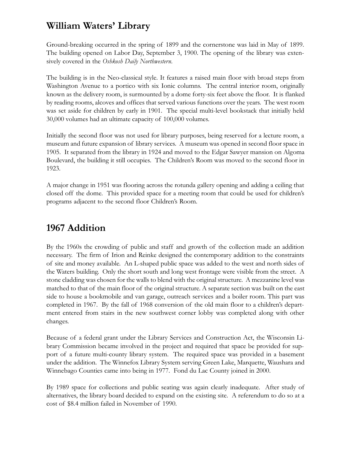# William Waters' Library

Ground-breaking occurred in the spring of 1899 and the cornerstone was laid in May of 1899. The building opened on Labor Day, September 3, 1900. The opening of the library was extensively covered in the Oshkosh Daily Northwestern.

The building is in the Neo-classical style. It features a raised main floor with broad steps from Washington Avenue to a portico with six Ionic columns. The central interior room, originally known as the delivery room, is surmounted by a dome forty-six feet above the floor. It is flanked by reading rooms, alcoves and offices that served various functions over the years. The west room was set aside for children by early in 1901. The special multi-level bookstack that initially held 30,000 volumes had an ultimate capacity of 100,000 volumes.

Initially the second floor was not used for library purposes, being reserved for a lecture room, a museum and future expansion of library services. A museum was opened in second floor space in 1905. It separated from the library in 1924 and moved to the Edgar Sawyer mansion on Algoma Boulevard, the building it still occupies. The Children's Room was moved to the second floor in 1923.

A major change in 1951 was flooring across the rotunda gallery opening and adding a ceiling that closed off the dome. This provided space for a meeting room that could be used for children's programs adjacent to the second floor Children's Room.

# 1967 Addition

By the 1960s the crowding of public and staff and growth of the collection made an addition necessary. The firm of Irion and Reinke designed the contemporary addition to the constraints of site and money available. An L-shaped public space was added to the west and north sides of the Waters building. Only the short south and long west frontage were visible from the street. A stone cladding was chosen for the walls to blend with the original structure. A mezzanine level was matched to that of the main floor of the original structure. A separate section was built on the east side to house a bookmobile and van garage, outreach services and a boiler room. This part was completed in 1967. By the fall of 1968 conversion of the old main floor to a children's department entered from stairs in the new southwest corner lobby was completed along with other changes.

Because of a federal grant under the Library Services and Construction Act, the Wisconsin Library Commission became involved in the project and required that space be provided for support of a future multi-county library system. The required space was provided in a basement under the addition. The Winnefox Library System serving Green Lake, Marquette, Waushara and Winnebago Counties came into being in 1977. Fond du Lac County joined in 2000.

By 1989 space for collections and public seating was again clearly inadequate. After study of alternatives, the library board decided to expand on the existing site. A referendum to do so at a cost of \$8.4 million failed in November of 1990.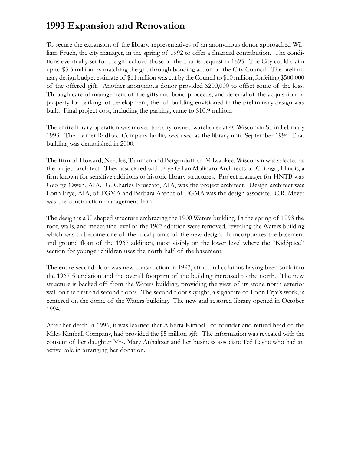# 1993 Expansion and Renovation

To secure the expansion of the library, representatives of an anonymous donor approached William Frueh, the city manager, in the spring of 1992 to offer a financial contribution. The conditions eventually set for the gift echoed those of the Harris bequest in 1895. The City could claim up to \$5.5 million by matching the gift through bonding action of the City Council. The preliminary design budget estimate of \$11 million was cut by the Council to \$10 million, forfeiting \$500,000 of the offered gift. Another anonymous donor provided \$200,000 to offset some of the loss. Through careful management of the gifts and bond proceeds, and deferral of the acquisition of property for parking lot development, the full building envisioned in the preliminary design was built. Final project cost, including the parking, came to \$10.9 million.

The entire library operation was moved to a city-owned warehouse at 40 Wisconsin St. in February 1993. The former Radford Company facility was used as the library until September 1994. That building was demolished in 2000.

The firm of Howard, Needles, Tammen and Bergendoff of Milwaukee, Wisconsin was selected as the project architect. They associated with Frye Gillan Molinaro Architects of Chicago, Illinois, a firm known for sensitive additions to historic library structures. Project manager for HNTB was George Owen, AIA. G. Charles Bruscato, AIA, was the project architect. Design architect was Lonn Frye, AIA, of FGMA and Barbara Arendt of FGMA was the design associate. C.R. Meyer was the construction management firm.

The design is a U-shaped structure embracing the 1900 Waters building. In the spring of 1993 the roof, walls, and mezzanine level of the 1967 addition were removed, revealing the Waters building which was to become one of the focal points of the new design. It incorporates the basement and ground floor of the 1967 addition, most visibly on the lower level where the "KidSpace" section for younger children uses the north half of the basement.

The entire second floor was new construction in 1993, structural columns having been sunk into the 1967 foundation and the overall footprint of the building increased to the north. The new structure is backed off from the Waters building, providing the view of its stone north exterior wall on the first and second floors. The second floor skylight, a signature of Lonn Frye's work, is centered on the dome of the Waters building. The new and restored library opened in October 1994.

After her death in 1996, it was learned that Alberta Kimball, co-founder and retired head of the Miles Kimball Company, had provided the \$5 million gift. The information was revealed with the consent of her daughter Mrs. Mary Anhaltzer and her business associate Ted Leyhe who had an active role in arranging her donation.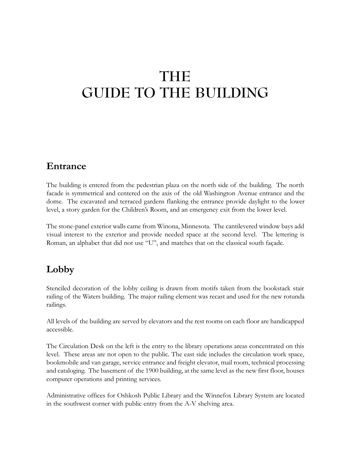# THE GUIDE TO THE BUILDING

# Entrance

The building is entered from the pedestrian plaza on the north side of the building. The north facade is symmetrical and centered on the axis of the old Washington Avenue entrance and the dome. The excavated and terraced gardens flanking the entrance provide daylight to the lower level, a story garden for the Children's Room, and an emergency exit from the lower level.

The stone-panel exterior walls came from Winona, Minnesota. The cantilevered window bays add visual interest to the exterior and provide needed space at the second level. The lettering is Roman, an alphabet that did not use "U", and matches that on the classical south façade.

# Lobby

Stenciled decoration of the lobby ceiling is drawn from motifs taken from the bookstack stair railing of the Waters building. The major railing element was recast and used for the new rotunda railings.

All levels of the building are served by elevators and the rest rooms on each floor are handicapped accessible.

The Circulation Desk on the left is the entry to the library operations areas concentrated on this level. These areas are not open to the public. The east side includes the circulation work space, bookmobile and van garage, service entrance and freight elevator, mail room, technical processing and cataloging. The basement of the 1900 building, at the same level as the new first floor, houses computer operations and printing services.

Administrative offices for Oshkosh Public Library and the Winnefox Library System are located in the southwest corner with public entry from the A-V shelving area.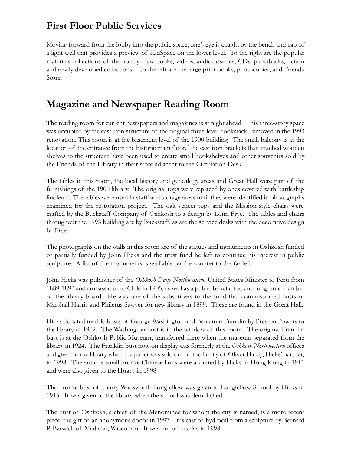# First Floor Public Services

Moving forward from the lobby into the public space, one's eye is caught by the bench and cap of a light well that provides a preview of KidSpace on the lower level. To the right are the popular materials collections of the library: new books, videos, audiocassettes, CDs, paperbacks, fiction and newly developed collections. To the left are the large print books, photocopier, and Friends Store.

# Magazine and Newspaper Reading Room

The reading room for current newspapers and magazines is straight ahead. This three-story space was occupied by the cast-iron structure of the original three-level bookstack, removed in the 1993 renovation. This room is at the basement level of the 1900 building. The small balcony is at the location of the entrance from the historic main floor. The cast iron brackets that attached wooden shelves to the structure have been used to create small bookshelves and other souvenirs sold by the Friends of the Library in their store adjacent to the Circulation Desk.

The tables in this room, the local history and genealogy areas and Great Hall were part of the furnishings of the 1900 library. The original tops were replaced by ones covered with battleship linoleum. The tables were used in staff and storage areas until they were identified in photographs examined for the restoration project. The oak veneer tops and the Mission-style chairs were crafted by the Buckstaff Company of Oshkosh to a design by Lonn Frye. The tables and chairs throughout the 1993 building are by Buckstaff, as are the service desks with the decorative design by Frye.

The photographs on the walls in this room are of the statues and monuments in Oshkosh funded or partially funded by John Hicks and the trust fund he left to continue his interest in public sculpture. A list of the monuments is available on the counter to the far left.

John Hicks was publisher of the Oshkosh Daily Northwestern, United States Minister to Peru from 1889-1892 and ambassador to Chile in 1905, as well as a public benefactor, and long-time member of the library board. He was one of the subscribers to the fund that commissioned busts of Marshall Harris and Philetus Sawyer for new library in 1899. These are found in the Great Hall.

Hicks donated marble busts of George Washington and Benjamin Franklin by Preston Powers to the library in 1902. The Washington bust is in the window of this room. The original Franklin bust is at the Oshkosh Public Museum, transferred there when the museum separated from the library in 1924. The Franklin bust now on display was formerly at the Oshkosh Northwestern offices and given to the library when the paper was sold out of the family of Oliver Hardy, Hicks' partner, in 1998. The antique small bronze Chinese lions were acquired by Hicks in Hong Kong in 1911 and were also given to the library in 1998.

The bronze bust of Henry Wadsworth Longfellow was given to Longfellow School by Hicks in 1915. It was given to the library when the school was demolished.

The bust of Oshkosh, a chief of the Menominee for whom the city is named, is a more recent piece, the gift of an anonymous donor in 1997. It is cast of hydrocal from a sculpture by Bernard P. Barwick of Madison, Wisconsin. It was put on display in 1998.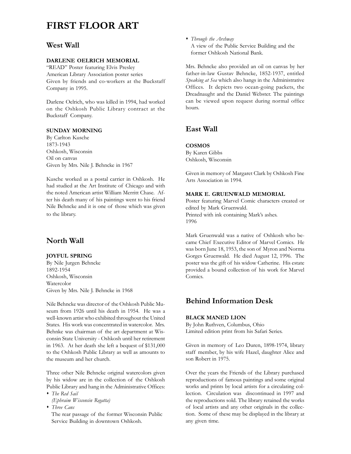# FIRST FLOOR ART

## West Wall

## DARLENE OELRICH MEMORIAL

"READ" Poster featuring Elvis Presley American Library Association poster series Given by friends and co-workers at the Buckstaff Company in 1995.

Darlene Oelrich, who was killed in 1994, had worked on the Oshkosh Public Library contract at the Buckstaff Company.

## SUNDAY MORNING

By Carlton Kusche 1873-1943 Oshkosh, Wisconsin Oil on canvas Given by Mrs. Nile J. Behncke in 1967

Kusche worked as a postal carrier in Oshkosh. He had studied at the Art Institute of Chicago and with the noted American artist William Merritt Chase. After his death many of his paintings went to his friend Nile Behncke and it is one of those which was given to the library.

## North Wall

#### JOYFUL SPRING

By Nile Jurgen Behncke 1892-1954 Oshkosh, Wisconsin Watercolor Given by Mrs. Nile J. Behncke in 1968

Nile Behncke was director of the Oshkosh Public Museum from 1926 until his death in 1954. He was a well-known artist who exhibited throughout the United States. His work was concentrated in watercolor. Mrs. Behnke was chairman of the art department at Wisconsin State University - Oshkosh until her retirement in 1963. At her death she left a bequest of \$131,000 to the Oshkosh Public Library as well as amounts to the museum and her church.

Three other Nile Behncke original watercolors given by his widow are in the collection of the Oshkosh Public Library and hang in the Administrative Offices:

• The Red Sail

(Ephraim Wisconsin Regatta)

• Three Cans

The rear passage of the former Wisconsin Public Service Building in downtown Oshkosh.

• Through the Archway A view of the Public Service Building and the former Oshkosh National Bank.

Mrs. Behncke also provided an oil on canvas by her father-in-law Gustav Behncke, 1852-1937, entitled Speaking at Sea which also hangs in the Administrative Offices. It depicts two ocean-going packets, the Dreadnaught and the Daniel Webster. The paintings can be viewed upon request during normal office hours.

# East Wall

## **COSMOS**

By Karen Gibbs Oshkosh, Wisconsin

Given in memory of Margaret Clark by Oshkosh Fine Arts Association in 1994.

## MARK E. GRUENWALD MEMORIAL

Poster featuring Marvel Comic characters created or edited by Mark Gruenwald. Printed with ink containing Mark's ashes. 1996

Mark Gruenwald was a native of Oshkosh who became Chief Executive Editor of Marvel Comics. He was born June 18, 1953, the son of Myron and Norma Gorges Gruenwald. He died August 12, 1996. The poster was the gift of his widow Catherine. His estate provided a bound collection of his work for Marvel Comics.

## Behind Information Desk

#### BLACK MANED LION

By John Ruthven, Columbus, Ohio Limited edition print from his Safari Series.

Given in memory of Leo Duren, 1898-1974, library staff member, by his wife Hazel, daughter Alice and son Robert in 1975.

Over the years the Friends of the Library purchased reproductions of famous paintings and some original works and prints by local artists for a circulating collection. Circulation was discontinued in 1997 and the reproductions sold. The library retained the works of local artists and any other originals in the collection. Some of these may be displayed in the library at any given time.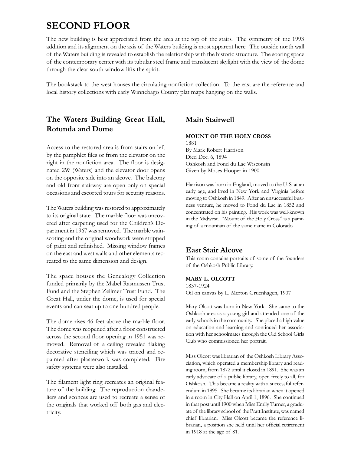# SECOND FLOOR

The new building is best appreciated from the area at the top of the stairs. The symmetry of the 1993 addition and its alignment on the axis of the Waters building is most apparent here. The outside north wall of the Waters building is revealed to establish the relationship with the historic structure. The soaring space of the contemporary center with its tubular steel frame and translucent skylight with the view of the dome through the clear south window lifts the spirit.

The bookstack to the west houses the circulating nonfiction collection. To the east are the reference and local history collections with early Winnebago County plat maps hanging on the walls.

# The Waters Building Great Hall, Rotunda and Dome

Access to the restored area is from stairs on left by the pamphlet files or from the elevator on the right in the nonfiction area. The floor is designated 2W (Waters) and the elevator door opens on the opposite side into an alcove. The balcony and old front stairway are open only on special occasions and escorted tours for security reasons.

The Waters building was restored to approximately to its original state. The marble floor was uncovered after carpeting used for the Children's Department in 1967 was removed. The marble wainscoting and the original woodwork were stripped of paint and refinished. Missing window frames on the east and west walls and other elements recreated to the same dimension and design.

The space houses the Genealogy Collection funded primarily by the Mabel Rasmussen Trust Fund and the Stephen Zellmer Trust Fund. The Great Hall, under the dome, is used for special events and can seat up to one hundred people.

The dome rises 46 feet above the marble floor. The dome was reopened after a floor constructed across the second floor opening in 1951 was removed. Removal of a ceiling revealed flaking decorative stenciling which was traced and repainted after plasterwork was completed. Fire safety systems were also installed.

The filament light ring recreates an original feature of the building. The reproduction chandeliers and sconces are used to recreate a sense of the originals that worked off both gas and electricity.

# Main Stairwell

## MOUNT OF THE HOLY CROSS

1881 By Mark Robert Harrison Died Dec. 6, 1894 Oshkosh and Fond du Lac Wisconsin Given by Moses Hooper in 1900.

Harrison was born in England, moved to the U. S. at an early age, and lived in New York and Virginia before moving to Oshkosh in 1849. After an unsuccessful business venture, he moved to Fond du Lac in 1852 and concentrated on his painting. His work was well-known in the Midwest. "Mount of the Holy Cross" is a painting of a mountain of the same name in Colorado.

# East Stair Alcove

This room contains portraits of some of the founders of the Oshkosh Public Library.

## MARY L. OLCOTT

1837-1924 Oil on canvas by L. Merton Gruenhagen, 1907

Mary Olcott was born in New York. She came to the Oshkosh area as a young girl and attended one of the early schools in the community. She placed a high value on education and learning and continued her association with her schoolmates through the Old School Girls Club who commissioned her portrait.

Miss Olcott was librarian of the Oshkosh Library Association, which operated a membership library and reading room, from 1872 until it closed in 1891. She was an early advocate of a public library, open freely to all, for Oshkosh. This became a reality with a successful referendum in 1895. She became its librarian when it opened in a room in City Hall on April 1, 1896. She continued in that post until 1900 when Miss Emily Turner, a graduate of the library school of the Pratt Institute, was named chief librarian. Miss Olcott became the reference librarian, a position she held until her official retirement in 1918 at the age of 81.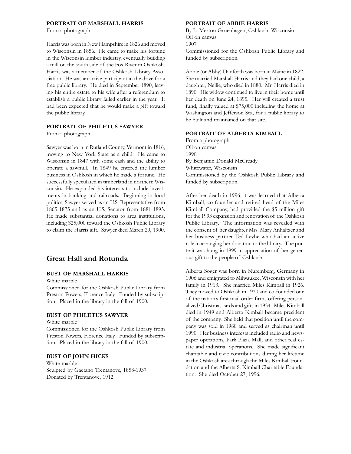#### PORTRAIT OF MARSHALL HARRIS

From a photograph

Harris was born in New Hampshire in 1826 and moved to Wisconsin in 1856. He came to make his fortune in the Wisconsin lumber industry, eventually building a mill on the south side of the Fox River in Oshkosh. Harris was a member of the Oshkosh Library Association. He was an active participant in the drive for a free public library. He died in September 1890, leaving his entire estate to his wife after a referendum to establish a public library failed earlier in the year. It had been expected that he would make a gift toward the public library.

#### PORTRAIT OF PHILETUS SAWYER

From a photograph

Sawyer was born in Rutland County, Vermont in 1816, moving to New York State as a child. He came to Wisconsin in 1847 with some cash and the ability to operate a sawmill. In 1849 he entered the lumber business in Oshkosh in which he made a fortune. He successfully speculated in timberland in northern Wisconsin. He expanded his interests to include investments in banking and railroads. Beginning in local politics, Sawyer served as an U.S. Representative from 1865-1875 and as an U.S. Senator from 1881-1893. He made substantial donations to area institutions, including \$25,000 toward the Oshkosh Public Library to claim the Harris gift. Sawyer died March 29, 1900.

## Great Hall and Rotunda

## BUST OF MARSHALL HARRIS

White marble

Commissioned for the Oshkosh Public Library from Preston Powers, Florence Italy. Funded by subscription. Placed in the library in the fall of 1900.

## BUST OF PHILETUS SAWYER

White marble

Commissioned for the Oshkosh Public Library from Preston Powers, Florence Italy. Funded by subscription. Placed in the library in the fall of 1900.

## BUST OF JOHN HICKS

White marble Sculpted by Gaetano Trentanove, 1858-1937 Donated by Trentanove, 1912.

#### PORTRAIT OF ABBIE HARRIS

By L. Merton Gruenhagen, Oshkosh, Wisconsin Oil on canvas 1907

Commissioned for the Oshkosh Public Library and funded by subscription.

Abbie (or Abby) Danforth was born in Maine in 1822. She married Marshall Harris and they had one child, a daughter, Nellie, who died in 1880. Mr. Harris died in 1890. His widow continued to live in their home until her death on June 24, 1895. Her will created a trust fund, finally valued at \$75,000 including the home at Washington and Jefferson Sts., for a public library to be built and maintained on that site.

#### PORTRAIT OF ALBERTA KIMBALL

From a photograph Oil on canvas 1998 By Benjamin Donald McCready Whitewater, Wisconsin Commissioned by the Oshkosh Public Library and funded by subscription.

After her death in 1996, it was learned that Alberta Kimball, co-founder and retired head of the Miles Kimball Company, had provided the \$5 million gift for the 1993 expansion and renovation of the Oshkosh Public Library. The information was revealed with the consent of her daughter Mrs. Mary Anhaltzer and her business partner Ted Leyhe who had an active role in arranging her donation to the library. The portrait was hung in 1999 in appreciation of her generous gift to the people of Oshkosh.

Alberta Soger was born in Nuremberg, Germany in 1906 and emigrated to Milwaukee, Wisconsin with her family in 1913. She married Miles Kimball in 1926. They moved to Oshkosh in 1930 and co-founded one of the nation's first mail order firms offering personalized Christmas cards and gifts in 1934. Miles Kimball died in 1949 and Alberta Kimball became president of the company. She held that position until the company was sold in 1980 and served as chairman until 1990. Her business interests included radio and newspaper operations, Park Plaza Mall, and other real estate and industrial operations. She made significant charitable and civic contributions during her lifetime in the Oshkosh area through the Miles Kimball Foundation and the Alberta S. Kimball Charitable Foundation. She died October 27, 1996.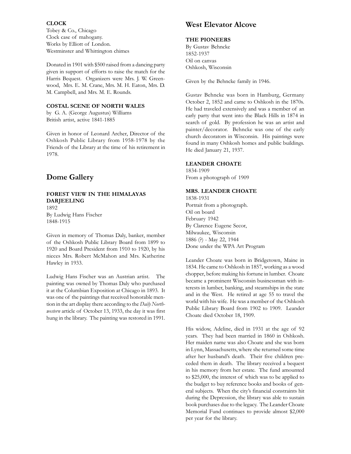## CLOCK

Tobey & Co., Chicago Clock case of mahogany. Works by Elliott of London. Westminster and Whittington chimes

Donated in 1901 with \$500 raised from a dancing party given in support of efforts to raise the match for the Harris Bequest. Organizers were Mrs. J. W. Greenwood, Mrs. E. M. Crane, Mrs. M. H. Eaton, Mrs. D. M. Campbell, and Mrs. M. E. Rounds.

### COSTAL SCENE OF NORTH WALES

by G. A. (George Augustus) Williams British artist, active 1841-1885

Given in honor of Leonard Archer, Director of the Oshkosh Public Library from 1958-1978 by the Friends of the Library at the time of his retirement in 1978.

# Dome Gallery

## FOREST VIEW IN THE HIMALAYAS DARJEELING

1892 By Ludwig Hans Fischer 1848-1915

Given in memory of Thomas Daly, banker, member of the Oshkosh Public Library Board from 1899 to 1920 and Board President from 1910 to 1920, by his nieces Mrs. Robert McMahon and Mrs. Katherine Hawley in 1933.

Ludwig Hans Fischer was an Austrian artist. The painting was owned by Thomas Daly who purchased it at the Columbian Exposition at Chicago in 1893. It was one of the paintings that received honorable mention in the art display there according to the Daily Northwestern article of October 13, 1933, the day it was first hung in the library. The painting was restored in 1991.

# West Elevator Alcove

#### THE PIONEERS

By Gustav Behncke 1852-1937 Oil on canvas Oshkosh, Wisconsin

Given by the Behncke family in 1946.

Gustav Behncke was born in Hamburg, Germany October 2, 1852 and came to Oshkosh in the 1870s. He had traveled extensively and was a member of an early party that went into the Black Hills in 1874 in search of gold. By profession he was an artist and painter/decorator. Behncke was one of the early church decorators in Wisconsin. His paintings were found in many Oshkosh homes and public buildings. He died January 21, 1937.

#### LEANDER CHOATE

1834-1909 From a photograph of 1909

## MRS. LEANDER CHOATE

1838-1931 Portrait from a photograph. Oil on board February 1942 By Clarence Eugene Secor, Milwaukee, Wisconsin 1886 (?) - May 22, 1944 Done under the WPA Art Program

Leander Choate was born in Bridgetown, Maine in 1834. He came to Oshkosh in 1857, working as a wood chopper, before making his fortune in lumber. Choate became a prominent Wisconsin businessman with interests in lumber, banking, and steamships in the state and in the West. He retired at age 55 to travel the world with his wife. He was a member of the Oshkosh Public Library Board from 1902 to 1909. Leander Choate died October 18, 1909.

His widow, Adeline, died in 1931 at the age of 92 years. They had been married in 1860 in Oshkosh. Her maiden name was also Choate and she was born in Lynn, Massachusetts, where she returned some time after her husband's death. Their five children preceded them in death. The library received a bequest in his memory from her estate. The fund amounted to \$25,000, the interest of which was to be applied to the budget to buy reference books and books of general subjects. When the city's financial constraints hit during the Depression, the library was able to sustain book purchases due to the legacy. The Leander Choate Memorial Fund continues to provide almost \$2,000 per year for the library.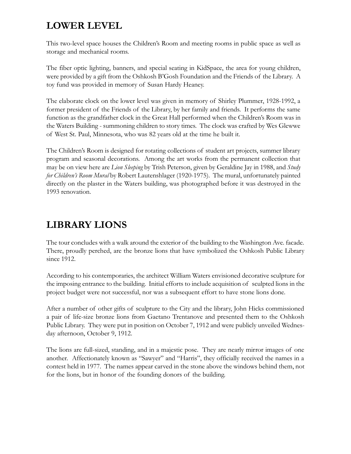# LOWER LEVEL

This two-level space houses the Children's Room and meeting rooms in public space as well as storage and mechanical rooms.

The fiber optic lighting, banners, and special seating in KidSpace, the area for young children, were provided by a gift from the Oshkosh B'Gosh Foundation and the Friends of the Library. A toy fund was provided in memory of Susan Hardy Heaney.

The elaborate clock on the lower level was given in memory of Shirley Plummer, 1928-1992, a former president of the Friends of the Library, by her family and friends. It performs the same function as the grandfather clock in the Great Hall performed when the Children's Room was in the Waters Building - summoning children to story times. The clock was crafted by Wes Glewwe of West St. Paul, Minnesota, who was 82 years old at the time he built it.

The Children's Room is designed for rotating collections of student art projects, summer library program and seasonal decorations. Among the art works from the permanent collection that may be on view here are *Lion Sleeping* by Trish Peterson, given by Geraldine Jay in 1988, and *Study* for Children's Room Mural by Robert Lautenshlager (1920-1975). The mural, unfortunately painted directly on the plaster in the Waters building, was photographed before it was destroyed in the 1993 renovation.

# LIBRARY LIONS

The tour concludes with a walk around the exterior of the building to the Washington Ave. facade. There, proudly perched, are the bronze lions that have symbolized the Oshkosh Public Library since 1912.

According to his contemporaries, the architect William Waters envisioned decorative sculpture for the imposing entrance to the building. Initial efforts to include acquisition of sculpted lions in the project budget were not successful, nor was a subsequent effort to have stone lions done.

After a number of other gifts of sculpture to the City and the library, John Hicks commissioned a pair of life-size bronze lions from Gaetano Trentanove and presented them to the Oshkosh Public Library. They were put in position on October 7, 1912 and were publicly unveiled Wednesday afternoon, October 9, 1912.

The lions are full-sized, standing, and in a majestic pose. They are nearly mirror images of one another. Affectionately known as "Sawyer" and "Harris", they officially received the names in a contest held in 1977. The names appear carved in the stone above the windows behind them, not for the lions, but in honor of the founding donors of the building.